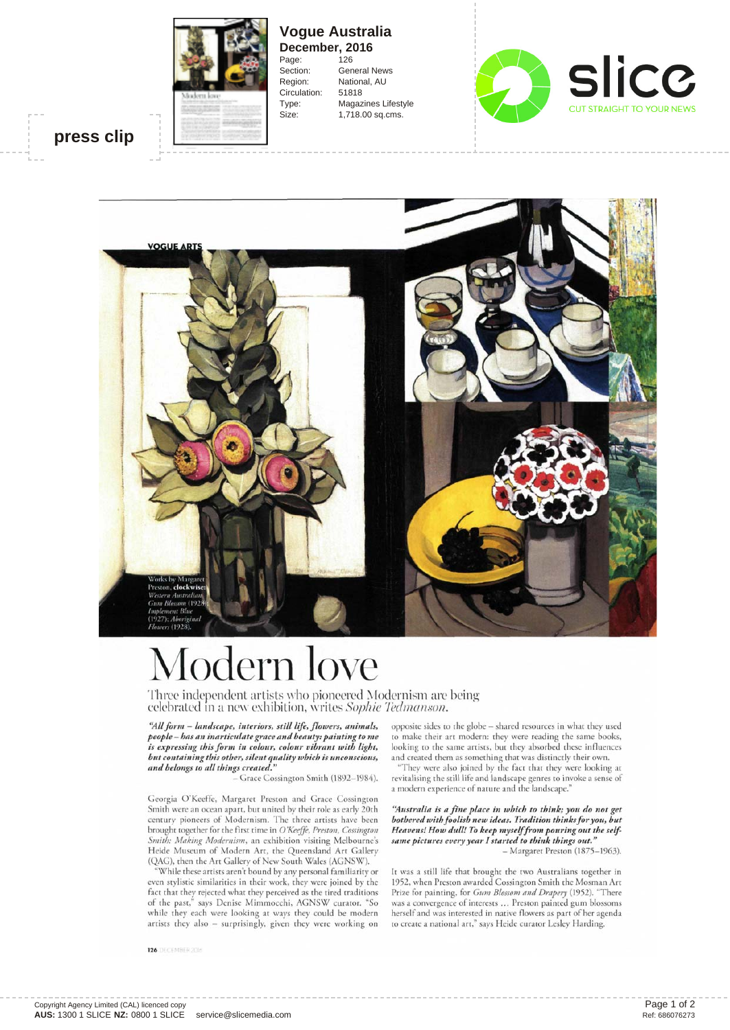

**Vogue Australia December, 2016**<br>Page: 126 Page: Section: General News Region: National, AU Circulation: 51818 Type: Magazines Lifestyle Size: 1,718.00 sq.cms.



## **press clip**



## lodern love

Three independent artists who pioneered Modernism are being celebrated m a new exhibition, writes *Sophie Tedmanson.*

*"Aliform - landscape, interiors, still life, flowers, animals, people — has an inarticulate grace and beauty:painting to me is expressing this form in colour, colour vibrant with light, but containing this other, silent quality which is unconscious, and belongs to all things created."*

*-* Grace Cossington Smith (1892-1984).

Georgia O'Keeffe, Margaret Preston and Grace Cossington Smith were an ocean apart, but united by their role as early 20th century pioneers of Modernism. The three artists have been brought together for the first time in *O'Keeffe, Preston, Cossington Smith: Making Modernism,* an exhibition visiting Melbourne's Heide Museum of Modern Art, the Queensland Art Gallery (QAG), then the Art Gallery of New South Wales (AGNSW).

"While these artists aren't bound by any personal familiarity or even stylistic similarities in their work, they were joined by the fact that they rejected what they perceived as the tired traditions of the past," says Denise Mimmocchi, AGNSW curator. "So while they each were looking at ways they could be modern artists they also - surprisingly, given they were working on

**126** DECEMBER 2016

opposite sides to the globe - shared resources in what they used to make their art modern: they were reading the same books, looking to the same artists, but they absorbed these influences and created them as something that was distinctly their own.

"They were also joined by the fact that they were looking at revitalising the still life and landscape genres to invoke a sense of a modern experience of nature and the landscape."

*"Australia is a fine place in which to think; you do not get bothered with foolish new ideas. Tradition thinks for you, but Heavens! How dull! To keep myself from pouring out the selfsame pictures every year I started to think things out." -* Margaret Preston (1875-1963).

It was a still life that brought the two Australians together in 1952, when Preston awarded Cossington Smith the Mosman Art Prize for painting, for *Gum Blossom and Drapery* (1952). "There was a convergence of interests ... Preston painted gum blossoms herself and was interested in native flowers as part of her agenda to create a national art," says Heide curator Lesley Harding.